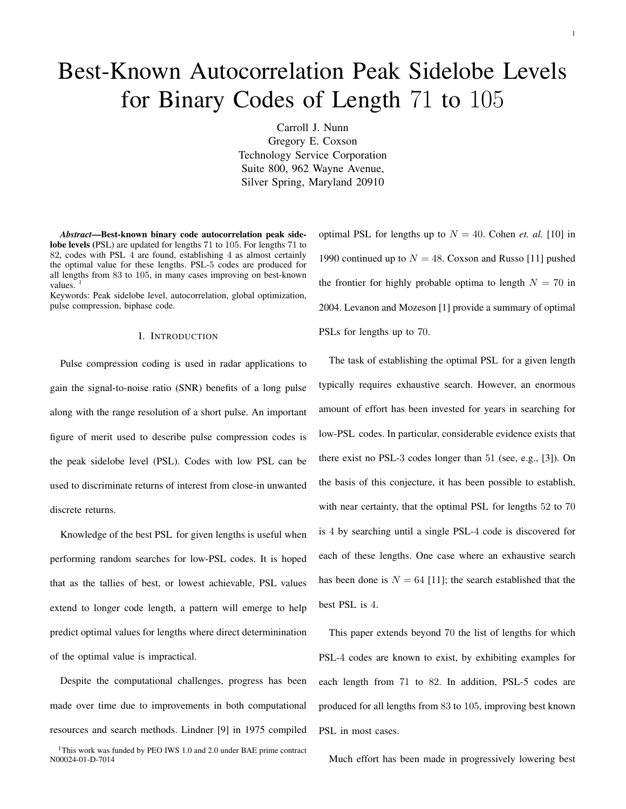# Best-Known Autocorrelation Peak Sidelobe Levels for Binary Codes of Length 71 to 105

Carroll J. Nunn Gregory E. Coxson Technology Service Corporation Suite 800, 962 Wayne Avenue, Silver Spring, Maryland 20910

*Abstract*—Best-known binary code autocorrelation peak sidelobe levels (PSL) are updated for lengths 71 to 105. For lengths 71 to 82, codes with PSL 4 are found, establishing 4 as almost certainly the optimal value for these lengths. PSL-5 codes are produced for all lengths from 83 to 105, in many cases improving on best-known values.

Keywords: Peak sidelobe level, autocorrelation, global optimization, pulse compression, biphase code.

## I. INTRODUCTION

Pulse compression coding is used in radar applications to gain the signal-to-noise ratio (SNR) benefits of a long pulse along with the range resolution of a short pulse. An important figure of merit used to describe pulse compression codes is the peak sidelobe level (PSL). Codes with low PSL can be used to discriminate returns of interest from close-in unwanted discrete returns.

Knowledge of the best PSL for given lengths is useful when performing random searches for low-PSL codes. It is hoped that as the tallies of best, or lowest achievable, PSL values extend to longer code length, a pattern will emerge to help predict optimal values for lengths where direct determinination of the optimal value is impractical.

Despite the computational challenges, progress has been made over time due to improvements in both computational resources and search methods. Lindner [9] in 1975 compiled

<sup>1</sup>This work was funded by PEO IWS 1.0 and 2.0 under BAE prime contract N00024-01-D-7014

optimal PSL for lengths up to  $N = 40$ . Cohen *et. al.* [10] in 1990 continued up to  $N = 48$ . Coxson and Russo [11] pushed the frontier for highly probable optima to length  $N = 70$  in 2004. Levanon and Mozeson [1] provide a summary of optimal PSLs for lengths up to 70.

The task of establishing the optimal PSL for a given length typically requires exhaustive search. However, an enormous amount of effort has been invested for years in searching for low-PSL codes. In particular, considerable evidence exists that there exist no PSL-3 codes longer than 51 (see, e.g., [3]). On the basis of this conjecture, it has been possible to establish, with near certainty, that the optimal PSL for lengths 52 to 70 is 4 by searching until a single PSL-4 code is discovered for each of these lengths. One case where an exhaustive search has been done is  $N = 64$  [11]; the search established that the best PSL is 4.

This paper extends beyond 70 the list of lengths for which PSL-4 codes are known to exist, by exhibiting examples for each length from 71 to 82. In addition, PSL-5 codes are produced for all lengths from 83 to 105, improving best known PSL in most cases.

Much effort has been made in progressively lowering best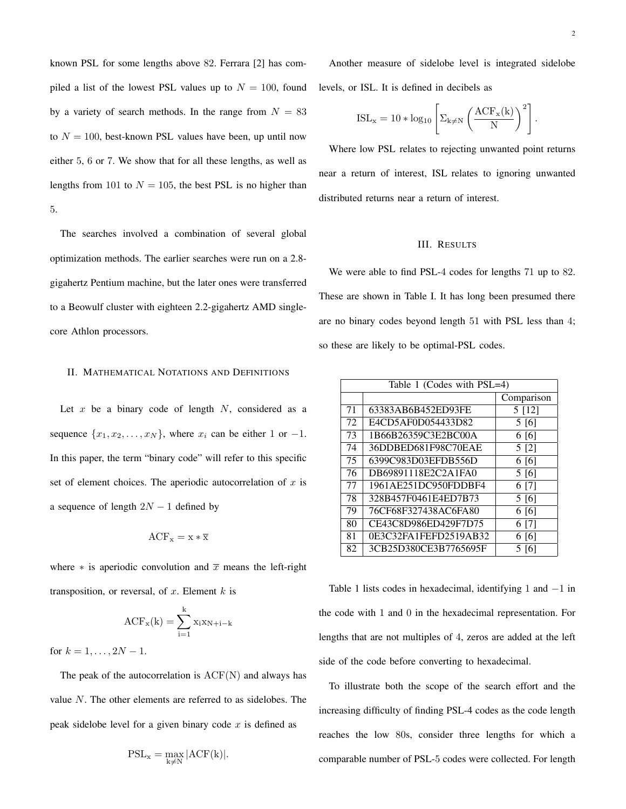known PSL for some lengths above 82. Ferrara [2] has compiled a list of the lowest PSL values up to  $N = 100$ , found by a variety of search methods. In the range from  $N = 83$ to  $N = 100$ , best-known PSL values have been, up until now either 5, 6 or 7. We show that for all these lengths, as well as lengths from 101 to  $N = 105$ , the best PSL is no higher than 5.

The searches involved a combination of several global optimization methods. The earlier searches were run on a 2.8 gigahertz Pentium machine, but the later ones were transferred to a Beowulf cluster with eighteen 2.2-gigahertz AMD singlecore Athlon processors.

# II. MATHEMATICAL NOTATIONS AND DEFINITIONS

Let  $x$  be a binary code of length  $N$ , considered as a sequence  $\{x_1, x_2, \ldots, x_N\}$ , where  $x_i$  can be either 1 or  $-1$ . In this paper, the term "binary code" will refer to this specific set of element choices. The aperiodic autocorrelation of  $x$  is a sequence of length  $2N - 1$  defined by

$$
ACF_x = x * \overline{x}
$$

where  $*$  is aperiodic convolution and  $\overline{x}$  means the left-right transposition, or reversal, of  $x$ . Element  $k$  is

$$
ACF_x(k) = \sum_{i=1}^{k} x_i x_{N+i-k}
$$

for  $k = 1, \ldots, 2N - 1$ .

The peak of the autocorrelation is  $ACF(N)$  and always has value N. The other elements are referred to as sidelobes. The peak sidelobe level for a given binary code  $x$  is defined as

$$
\mathrm{PSL}_x = \max_{k \neq N} |\mathrm{ACF}(k)|.
$$

Another measure of sidelobe level is integrated sidelobe levels, or ISL. It is defined in decibels as

$$
ISL_x = 10 * log_{10} \left[ \Sigma_{k \neq N} \left( \frac{ACF_x(k)}{N} \right)^2 \right].
$$

Where low PSL relates to rejecting unwanted point returns near a return of interest, ISL relates to ignoring unwanted distributed returns near a return of interest.

### III. RESULTS

We were able to find PSL-4 codes for lengths 71 up to 82. These are shown in Table I. It has long been presumed there are no binary codes beyond length 51 with PSL less than 4; so these are likely to be optimal-PSL codes.

| Table 1 (Codes with PSL=4) |                       |            |  |  |
|----------------------------|-----------------------|------------|--|--|
|                            |                       | Comparison |  |  |
| 71                         | 63383AB6B452ED93FE    | 5 [12]     |  |  |
| 72                         | E4CD5AF0D054433D82    | 5 [6]      |  |  |
| 73                         | 1B66B26359C3E2BC00A   | 6[6]       |  |  |
| 74                         | 36DDBED681F98C70EAE   | 5 [2]      |  |  |
| 75                         | 6399C983D03EFDB556D   | 6 [6]      |  |  |
| 76                         | DB69891118E2C2A1FA0   | 5[6]       |  |  |
| 77                         | 1961AE251DC950FDDBF4  | 6 [7]      |  |  |
| 78                         | 328B457F0461E4ED7B73  | 5[6]       |  |  |
| 79                         | 76CF68F327438AC6FA80  | 6 [6]      |  |  |
| 80                         | CE43C8D986ED429F7D75  | 6 [7]      |  |  |
| 81                         | 0E3C32FA1FEFD2519AB32 | 6 [6]      |  |  |
| 82                         | 3CB25D380CE3B7765695F | 5 [6]      |  |  |

Table 1 lists codes in hexadecimal, identifying 1 and −1 in the code with 1 and 0 in the hexadecimal representation. For lengths that are not multiples of 4, zeros are added at the left side of the code before converting to hexadecimal.

To illustrate both the scope of the search effort and the increasing difficulty of finding PSL-4 codes as the code length reaches the low 80s, consider three lengths for which a comparable number of PSL-5 codes were collected. For length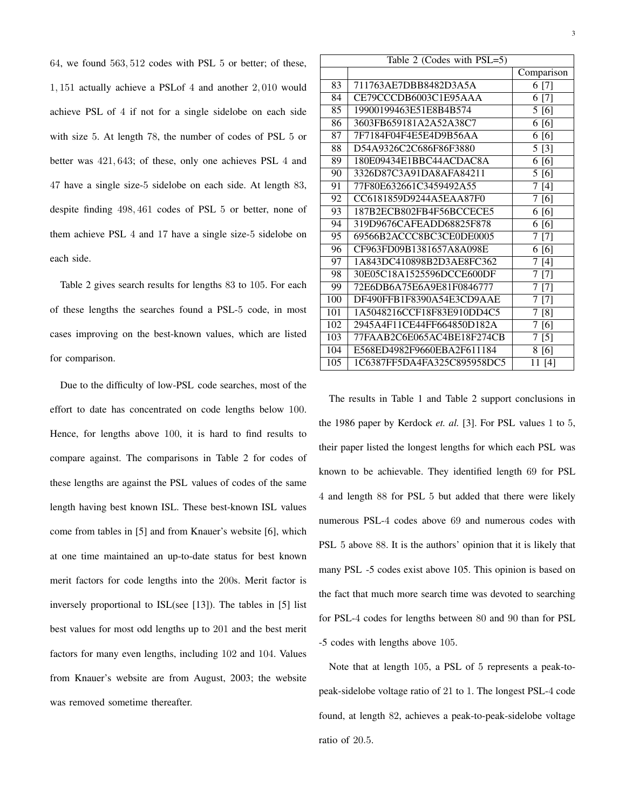64, we found 563, 512 codes with PSL 5 or better; of these, 1, 151 actually achieve a PSLof 4 and another 2, 010 would achieve PSL of 4 if not for a single sidelobe on each side with size 5. At length 78, the number of codes of PSL 5 or better was 421, 643; of these, only one achieves PSL 4 and 47 have a single size-5 sidelobe on each side. At length 83, despite finding 498, 461 codes of PSL 5 or better, none of them achieve PSL 4 and 17 have a single size-5 sidelobe on each side.

Table 2 gives search results for lengths 83 to 105. For each of these lengths the searches found a PSL-5 code, in most cases improving on the best-known values, which are listed for comparison.

Due to the difficulty of low-PSL code searches, most of the effort to date has concentrated on code lengths below 100. Hence, for lengths above 100, it is hard to find results to compare against. The comparisons in Table 2 for codes of these lengths are against the PSL values of codes of the same length having best known ISL. These best-known ISL values come from tables in [5] and from Knauer's website [6], which at one time maintained an up-to-date status for best known merit factors for code lengths into the 200s. Merit factor is inversely proportional to ISL(see [13]). The tables in [5] list best values for most odd lengths up to 201 and the best merit factors for many even lengths, including 102 and 104. Values from Knauer's website are from August, 2003; the website was removed sometime thereafter.

| Table 2 (Codes with PSL=5) |                             |                        |  |  |
|----------------------------|-----------------------------|------------------------|--|--|
|                            |                             | Comparison             |  |  |
| 83                         | 711763AE7DBB8482D3A5A       | 6 [7]                  |  |  |
| 84                         | CE79CCCDB6003C1E95AAA       | 6 [7]                  |  |  |
| 85                         | 19900199463E51E8B4B574      | 5[6]                   |  |  |
| 86                         | 3603FB659181A2A52A38C7      | 6 [6]                  |  |  |
| 87                         | 7F7184F04F4E5E4D9B56AA      | 6 [6]                  |  |  |
| 88                         | D54A9326C2C686F86F3880      | 5 [3]                  |  |  |
| 89                         | 180E09434E1BBC44ACDAC8A     | 6 [6]                  |  |  |
| 90                         | 3326D87C3A91DA8AFA84211     | 5 [6]                  |  |  |
| 91                         | 77F80E632661C3459492A55     | 7[4]                   |  |  |
| 92                         | CC6181859D9244A5EAA87F0     | 7 [6]                  |  |  |
| 93                         | 187B2ECB802FB4F56BCCECE5    | 6 [6]                  |  |  |
| 94                         | 319D9676CAFEADD68825F878    | [6]<br>6               |  |  |
| 95                         | 69566B2ACCC8BC3CE0DE0005    | 7 [7]                  |  |  |
| 96                         | CF963FD09B1381657A8A098E    | 6 [6]                  |  |  |
| 97                         | 1A843DC410898B2D3AE8FC362   | 7<br>[4]               |  |  |
| 98                         | 30E05C18A1525596DCCE600DF   | 7<br>$\lceil 7 \rceil$ |  |  |
| 99                         | 72E6DB6A75E6A9E81F0846777   | 7 [7]                  |  |  |
| 100                        | DF490FFB1F8390A54E3CD9AAE   | 7[7]                   |  |  |
| 101                        | 1A5048216CCF18F83E910DD4C5  | 7 [8]                  |  |  |
| 102                        | 2945A4F11CE44FF664850D182A  | 7 [6]                  |  |  |
| 103                        | 77FAAB2C6E065AC4BE18F274CB  | 7 [5]                  |  |  |
| 104                        | E568ED4982F9660EBA2F611184  | 8 [6]                  |  |  |
| 105                        | 1C6387FF5DA4FA325C895958DC5 | 11 [4]                 |  |  |
|                            |                             |                        |  |  |

The results in Table 1 and Table 2 support conclusions in the 1986 paper by Kerdock *et. al.* [3]. For PSL values 1 to 5, their paper listed the longest lengths for which each PSL was known to be achievable. They identified length 69 for PSL 4 and length 88 for PSL 5 but added that there were likely numerous PSL-4 codes above 69 and numerous codes with PSL 5 above 88. It is the authors' opinion that it is likely that many PSL -5 codes exist above 105. This opinion is based on the fact that much more search time was devoted to searching for PSL-4 codes for lengths between 80 and 90 than for PSL -5 codes with lengths above 105.

Note that at length 105, a PSL of 5 represents a peak-topeak-sidelobe voltage ratio of 21 to 1. The longest PSL-4 code found, at length 82, achieves a peak-to-peak-sidelobe voltage ratio of 20.5.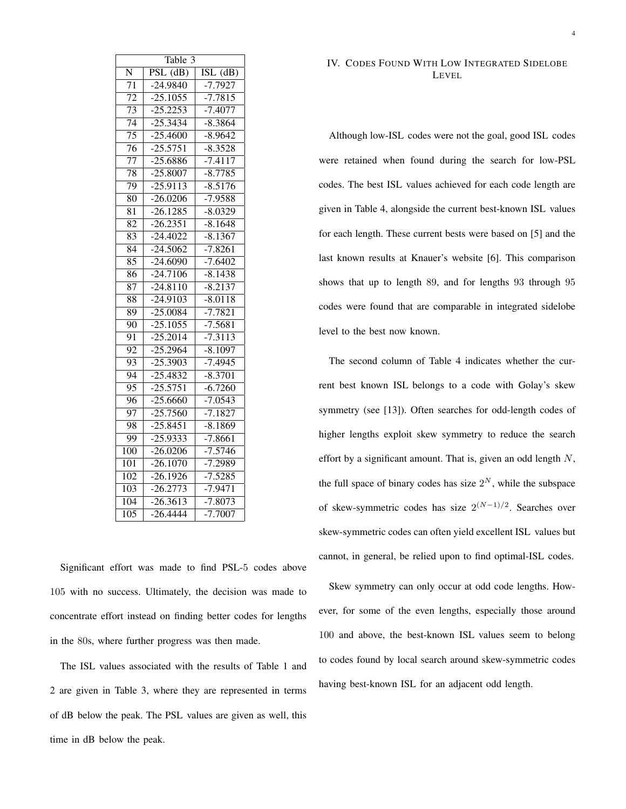| Table $\overline{3}$        |            |                                |  |  |  |  |
|-----------------------------|------------|--------------------------------|--|--|--|--|
| N                           | PSL (dB)   | $\overline{\mathrm{ISL}}$ (dB) |  |  |  |  |
| $\overline{71}$             | $-24.9840$ | $-7.7927$                      |  |  |  |  |
| $\overline{72}$             | $-25.1055$ | $-7.\overline{7815}$           |  |  |  |  |
| $\overline{73}$             | $-25.2253$ | $-7.4077$                      |  |  |  |  |
| $\overline{74}$             | $-25.3434$ | $-8.3864$                      |  |  |  |  |
| $\overline{75}$             | $-25.4600$ | $-8.9642$                      |  |  |  |  |
| $\overline{76}$             | $-25.5751$ | $-8.3528$                      |  |  |  |  |
| $\overline{77}$             | $-25.6886$ | $-7.4117$                      |  |  |  |  |
| 78                          | $-25.8007$ | $-8.7785$                      |  |  |  |  |
| 79                          | $-25.9113$ | $-8.5176$                      |  |  |  |  |
| 80                          | $-26.0206$ | $-7.9588$                      |  |  |  |  |
| $\overline{8}$ <sub>1</sub> | $-26.1285$ | $-8.0329$                      |  |  |  |  |
| 82                          | $-26.2351$ | $-8.1648$                      |  |  |  |  |
| $\overline{83}$             | $-24.4022$ | $-8.1367$                      |  |  |  |  |
| $\overline{8}4$             | $-24.5062$ | $-7.8261$                      |  |  |  |  |
| $\overline{85}$             | $-24.6090$ | $-7.6402$                      |  |  |  |  |
| 86                          | $-24.7106$ | $-8.1438$                      |  |  |  |  |
| $\overline{87}$             | $-24.8110$ | $-8.2137$                      |  |  |  |  |
| $\overline{88}$             | $-24.9103$ | $-8.0118$                      |  |  |  |  |
| $\overline{89}$             | $-25.0084$ | $-7.7821$                      |  |  |  |  |
| $\overline{90}$             | $-25.1055$ | $-7.5681$                      |  |  |  |  |
| 91                          | $-25.2014$ | $-7.3113$                      |  |  |  |  |
| $\overline{92}$             | $-25.2964$ | $-8.1097$                      |  |  |  |  |
| 93                          | $-25.3903$ | $-7.4945$                      |  |  |  |  |
| $\overline{94}$             | $-25.4832$ | $-8.3701$                      |  |  |  |  |
| $\overline{95}$             | $-25.5751$ | $-6.7260$                      |  |  |  |  |
| 96                          | 25.6660    | $-7.0543$                      |  |  |  |  |
| $\overline{97}$             | $-25.7560$ | $-7.1827$                      |  |  |  |  |
| 98                          | $-25.8451$ | $-8.1869$                      |  |  |  |  |
| 99                          | 25.9333    | $-7.8661$                      |  |  |  |  |
| $\overline{100}$            | $-26.0206$ | $-7.5746$                      |  |  |  |  |
| $\overline{101}$            | $-26.1070$ | $-7.2989$                      |  |  |  |  |
| $\overline{102}$            | $-26.1926$ | $-7.5285$                      |  |  |  |  |
| $\overline{103}$            | $-26.2773$ | $-7.9471$                      |  |  |  |  |
| $\overline{104}$            | $-26.3613$ | $-7.8073$                      |  |  |  |  |
| $\overline{105}$            | $-26.4444$ | $-7.7007$                      |  |  |  |  |

Significant effort was made to find PSL-5 codes above 105 with no success. Ultimately, the decision was made to concentrate effort instead on finding better codes for lengths in the 80s, where further progress was then made.

The ISL values associated with the results of Table 1 and 2 are given in Table 3, where they are represented in terms of dB below the peak. The PSL values are given as well, this time in dB below the peak.

# IV. CODES FOUND WITH LOW INTEGRATED SIDELOBE LEVEL

Although low-ISL codes were not the goal, good ISL codes were retained when found during the search for low-PSL codes. The best ISL values achieved for each code length are given in Table 4, alongside the current best-known ISL values for each length. These current bests were based on [5] and the last known results at Knauer's website [6]. This comparison shows that up to length 89, and for lengths 93 through 95 codes were found that are comparable in integrated sidelobe level to the best now known.

The second column of Table 4 indicates whether the current best known ISL belongs to a code with Golay's skew symmetry (see [13]). Often searches for odd-length codes of higher lengths exploit skew symmetry to reduce the search effort by a significant amount. That is, given an odd length  $N$ , the full space of binary codes has size  $2^N$ , while the subspace of skew-symmetric codes has size  $2^{(N-1)/2}$ . Searches over skew-symmetric codes can often yield excellent ISL values but cannot, in general, be relied upon to find optimal-ISL codes.

Skew symmetry can only occur at odd code lengths. However, for some of the even lengths, especially those around 100 and above, the best-known ISL values seem to belong to codes found by local search around skew-symmetric codes having best-known ISL for an adjacent odd length.